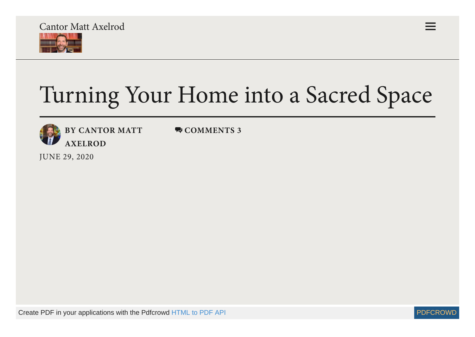



# Turning Your Home into a Sacred Space



**[COMMENTS](#page-8-0) 3**

[JUNE](https://mattaxelrod.com/2020/06/29/turning-your-home-into-a-sacred-space/) 29, 2020

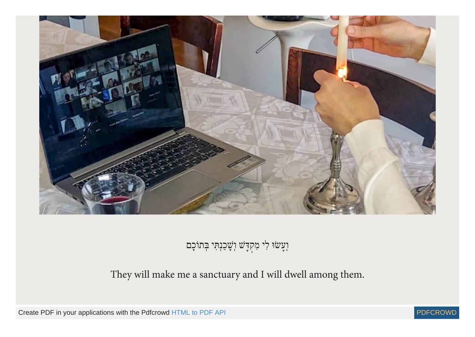

## וְעָשׂוּ לִי מִקְדָּשׁ וְשָׁכַנְתִּי בְּתוֹכָם

They will make me a sanctuary and I will dwell among them.

Create PDF in your applications with the Pdfcrowd [HTML to PDF API](https://pdfcrowd.com/doc/api/?ref=pdf) [PDFCROWD](https://pdfcrowd.com/?ref=pdf)

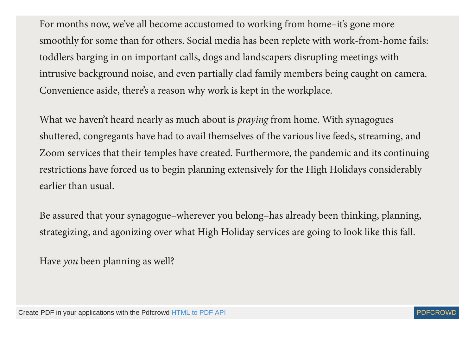For months now, we ' ve all become accustomed to working from home–it' s gone more smoothly for some than for others. Social media has been replete with work-from-home fails: toddlers barging in on important calls, dogs and landscapers disrupting meetings with intrusive background noise, and even partially clad family members being caught on camera. Convenience aside, there's a reason why work is kept in the workplace.

What we haven't heard nearly as much about is *praying* from home. With synagogues shuttered, congregants have had to avail themselves of the various live feeds, streaming, and Zoom services that their temples have created. Furthermore, the pandemic and its continuing restrictions have forced us to begin planning extensively for the High Holidays considerably earlier than usual.

Be assured that your synagogue–wherever you belong–has already been thinking, planning, strategizing, and agonizing over what High Holiday services are going to look like this fall.

Have *you* been planning as well?

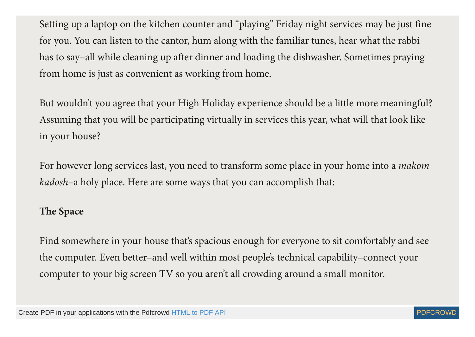Setting up a laptop on the kitchen counter and "playing " Friday night services may be just fine for you. You can listen to the cantor, hum along with the familiar tunes, hear what the rabbi has to say–all while cleaning up after dinner and loading the dishwasher. Sometimes praying from home is just as convenient as working from home.

But wouldn 't you agree that your High Holiday experience should be a little more meaningful? Assuming that you will be participating virtually in services this year, what will that look like in your house?

For however long services last, you need to transform some place in your home into a makom kadosh–a holy place. Here are some ways that you can accomplish that:

#### **The Space**

Find somewhere in your house that' s spacious enough for everyone to sit comfortably and see the computer. Even better–and well within most people ' s technical capability–connect your computer to your big screen TV so you aren 't all crowding around a small monitor.

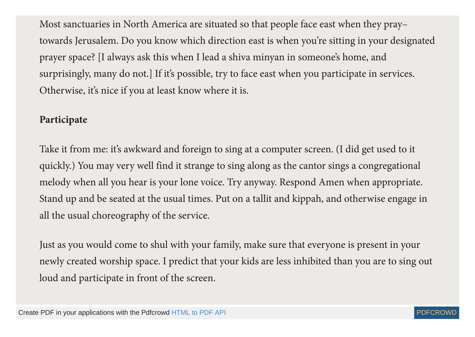Most sanctuaries in North America are situated so that people face east when they pray– towards Jerusalem. Do you know which direction east is when you're sitting in your designated prayer space? [I always ask this when I lead a shiva minyan in someone's home, and surprisingly, many do not.] If it' s possible, try to face east when you participate in services. Otherwise, it' s nice if you at least know where it is.

## **Participate**

Take it from me: it' s awkward and foreign to sing at a computer screen. (I did get used to it quickly.) You may very well find it strange to sing along as the cantor sings a congregational melody when all you hear is your lone voice. Try anyway. Respond Amen when appropriate. Stand up and be seated at the usual times. Put on a tallit and kippah, and otherwise engage in all the usual choreography of the service.

Just as you would come to shul with your family, make sure that everyone is present in your newly created worship space. I predict that your kids are less inhibited than you are to sing out loud and participate in front of the screen.

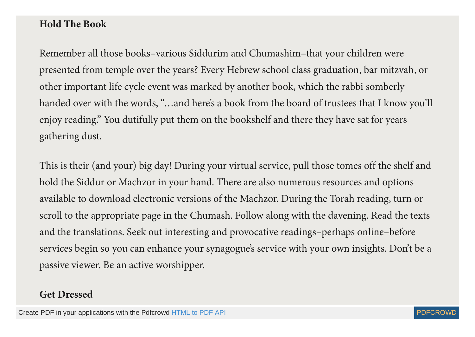## **Hold The Book**

Remember all those books–various Siddurim and Chumashim–that your children were presented from temple over the years? Every Hebrew school class graduation, bar mitzvah, or other important life cycle event was marked by another book, which the rabbi somberly handed over with the words, "…and here's a book from the board of trustees that I know you'll enjoy reading." You dutifully put them on the bookshelf and there they have sat for years gathering dust.

This is their (and your) big day! During your virtual service, pull those tomes off the shelf and hold the Siddur or Machzor in your hand. There are also numerous resources and options available to download electronic versions of the Machzor. During the Torah reading, turn or scroll to the appropriate page in the Chumash. Follow along with the davening. Read the texts and the translations. Seek out interesting and provocative readings–perhaps online–before services begin so you can enhance your synagogue's service with your own insights. Don't be a passive viewer. Be an active worshipper.

#### **Get Dressed**

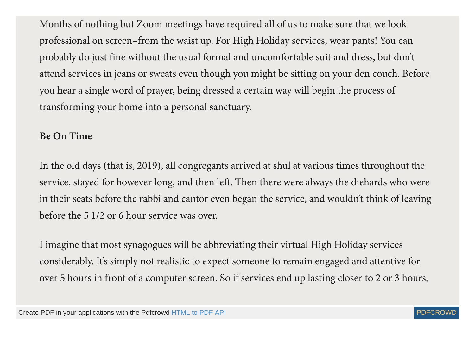Months of nothing but Zoom meetings have required all of us to make sure that we look professional on screen–from the waist up. For High Holiday services, wear pants! You can probably do just fine without the usual formal and uncomfortable suit and dress, but don 't attend services in jeans or sweats even though you might be sitting on your den couch. Before you hear a single word of prayer, being dressed a certain way will begin the process of transforming your home into a personal sanctuary.

## **Be On Time**

In the old days (that is, 2019), all congregants arrived at shul at various times throughout the service, stayed for however long, and then left. Then there were always the diehards who were in their seats before the rabbi and cantor even began the service, and wouldn 't think of leaving before the 5 1/2 or 6 hour service was over.

I imagine that most synagogues will be abbreviating their virtual High Holiday services considerably. It' s simply not realistic to expect someone to remain engaged and attentive for over 5 hours in front of a computer screen. So if services end up lasting closer to 2 or 3 hours,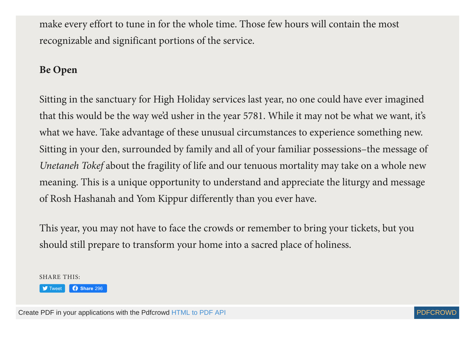make every effort to tune in for the whole time. Those few hours will contain the most recognizable and significant portions of the service.

#### **Be Open**

Sitting in the sanctuary for High Holiday services last year, no one could have ever imagined that this would be the way we 'd usher in the year 5781. While it may not be what we want, it' s what we have. Take advantage of these unusual circumstances to experience something new. Sitting in your den, surrounded by family and all of your familiar possessions–the message of Unetaneh Tokef about the fragility of life and our tenuous mortality may take on a whole new meaning. This is a unique opportunity to understand and appreciate the liturgy and message of Rosh Hashanah and Yom Kippur differently than you ever have.

This year, you may not have to face the crowds or remember to bring your tickets, but you should still prepare to transform your home into a sacred place of holiness.

SHARE THIS:



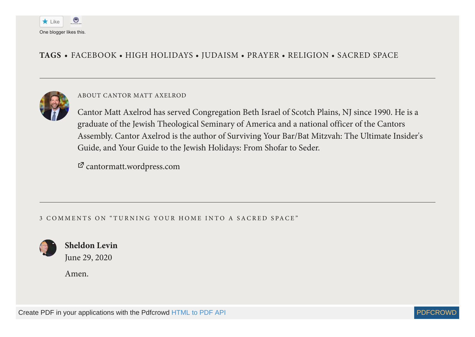

#### **TAGS •** [FACEBOOK](https://mattaxelrod.com/tag/facebook/) • HIGH [HOLIDAYS](https://mattaxelrod.com/tag/high-holidays/) • [JUDAISM](https://mattaxelrod.com/tag/judaism/) • [PRAYER](https://mattaxelrod.com/tag/prayer/) • [RELIGION](https://mattaxelrod.com/tag/religion/) • [SACRED](https://mattaxelrod.com/tag/sacred-space/) SPACE



#### ABOUT CANTOR MATT [AXELROD](https://mattaxelrod.com/author/mattaxelrod/)

Cantor Matt Axelrod has served Congregation Beth Israel of Scotch Plains, NJ since 1990. He is a graduate of the Jewish Theological Seminary of America and a national officer of the Cantors Assembly. Cantor Axelrod is the author of Surviving Your Bar/Bat Mitzvah: The Ultimate Insider's Guide, and Your Guide to the Jewish Holidays: From Shofar to Seder.

<span id="page-8-0"></span>[cantormatt.wordpress.com](http://cantormatt.wordpress.com/)

3 COMMENTS ON "TURNING YOUR HOME INTO A SACRED SPACE"

<span id="page-8-1"></span>

**Sheldon Levin** June 29, [2020](#page-8-1)

Amen.

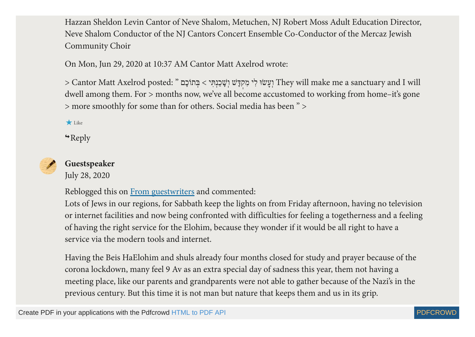Hazzan Sheldon Levin Cantor of Neve Shalom, Metuchen, NJ Robert Moss Adult Education Director, Neve Shalom Conductor of the NJ Cantors Concert Ensemble Co-Conductor of the Mercaz Jewish Community Choir

On Mon, Jun 29, 2020 at 10:37 AM Cantor Matt Axelrod wrote:

> Cantor Matt Axelrod posted: " הְעָשׂוּ לִי מִקְדָּשׁ וְשֶׁכַנְתְּי (עִשְׂי They will make me a sanctuary and I will dwell among them. For > months now, we've all become accustomed to working from home-it's gone > more smoothly for some than for others. Social media has been " >

 $\bigstar$  Like

 $\rightarrow$ [Reply](https://mattaxelrod.com/2020/06/29/turning-your-home-into-a-sacred-space/?replytocom=99#respond)

<span id="page-9-0"></span>

#### **[Guestspeaker](http://fromguestwriters.wordpress.com/)**

July 28, [2020](#page-9-0)

Reblogged this on From [guestwriters](https://fromguestwriters.wordpress.com/2020/07/28/turning-your-home-into-a-sacred-space/) and commented:

Lots of Jews in our regions, for Sabbath keep the lights on from Friday afternoon, having no television or internet facilities and now being confronted with difficulties for feeling a togetherness and a feeling of having the right service for the Elohim, because they wonder if it would be all right to have a service via the modern tools and internet.

Having the Beis HaElohim and shuls already four months closed for study and prayer because of the corona lockdown, many feel 9 Av as an extra special day of sadness this year, them not having a meeting place, like our parents and grandparents were not able to gather because of the Nazi's in the previous century. But this time it is not man but nature that keeps them and us in its grip.

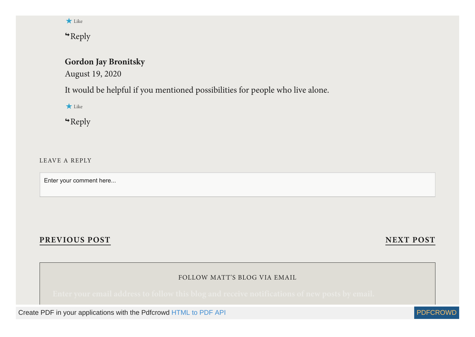

[Reply](https://mattaxelrod.com/2020/06/29/turning-your-home-into-a-sacred-space/?replytocom=103#respond)

#### <span id="page-10-0"></span>**Gordon Jay Bronitsky**

[August](#page-10-0) 19, 2020

It would be helpful if you mentioned possibilities for people who live alone.

 $\bigstar$  Like

 $\rightarrow$ [Reply](https://mattaxelrod.com/2020/06/29/turning-your-home-into-a-sacred-space/?replytocom=107#respond)

LEAVE A REPLY

Enter your comment here...

#### **[PREVIOUS](https://mattaxelrod.com/2020/06/17/balancing-home-and-prayer/) POST [NEXT](https://mattaxelrod.com/2020/07/14/hineni-for-our-virtual-services/) POST**

#### FOLLOW MATT'S BLOG VIA EMAIL

Create PDF in your applications with the Pdfcrowd [HTML to PDF API](https://pdfcrowd.com/doc/api/?ref=pdf) [PDFCROWD](https://pdfcrowd.com/?ref=pdf)

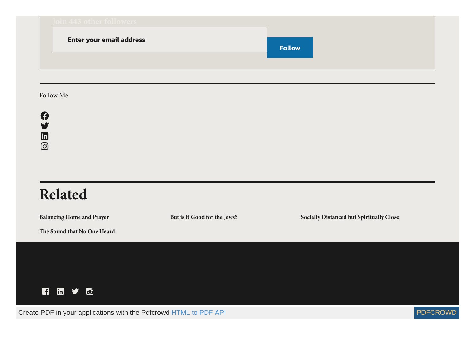| oin 443 other followers         |               |
|---------------------------------|---------------|
| <b>Enter your email address</b> | <b>Follow</b> |
|                                 |               |

#### Follow Me

 $\boldsymbol{\Omega}$ V **in**<br>©



Create PDF in your applications with the Pdfcrowd [HTML to PDF API](https://pdfcrowd.com/doc/api/?ref=pdf) [PDFCROWD](https://pdfcrowd.com/?ref=pdf) Create PDF in your applications with the Pdfcrowd HTML to PDF API